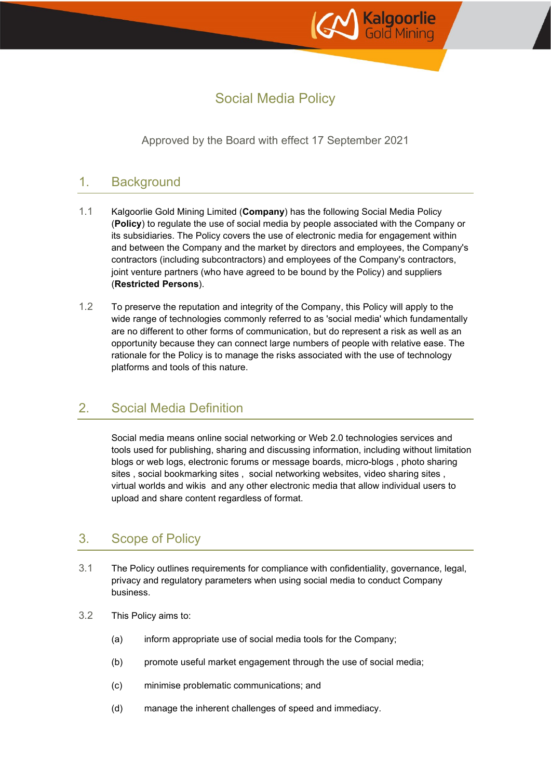

# Social Media Policy

Approved by the Board with effect 17 September 2021

# 1. Background

- 1.1 Kalgoorlie Gold Mining Limited (**Company**) has the following Social Media Policy (**Policy**) to regulate the use of social media by people associated with the Company or its subsidiaries. The Policy covers the use of electronic media for engagement within and between the Company and the market by directors and employees, the Company's contractors (including subcontractors) and employees of the Company's contractors, joint venture partners (who have agreed to be bound by the Policy) and suppliers (**Restricted Persons**).
- 1.2 To preserve the reputation and integrity of the Company, this Policy will apply to the wide range of technologies commonly referred to as 'social media' which fundamentally are no different to other forms of communication, but do represent a risk as well as an opportunity because they can connect large numbers of people with relative ease. The rationale for the Policy is to manage the risks associated with the use of technology platforms and tools of this nature.

### 2. Social Media Definition

Social media means online social networking or Web 2.0 technologies services and tools used for publishing, sharing and discussing information, including without limitation blogs or web logs, electronic forums or message boards, micro-blogs , photo sharing sites , social bookmarking sites , social networking websites, video sharing sites , virtual worlds and wikis and any other electronic media that allow individual users to upload and share content regardless of format.

# 3. Scope of Policy

- 3.1 The Policy outlines requirements for compliance with confidentiality, governance, legal, privacy and regulatory parameters when using social media to conduct Company business.
- 3.2 This Policy aims to:
	- (a) inform appropriate use of social media tools for the Company;
	- (b) promote useful market engagement through the use of social media;
	- (c) minimise problematic communications; and
	- (d) manage the inherent challenges of speed and immediacy.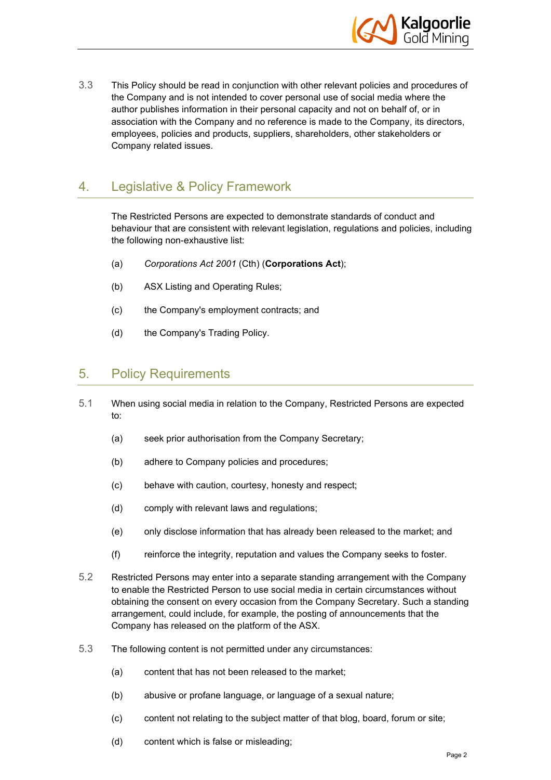

3.3 This Policy should be read in conjunction with other relevant policies and procedures of the Company and is not intended to cover personal use of social media where the author publishes information in their personal capacity and not on behalf of, or in association with the Company and no reference is made to the Company, its directors, employees, policies and products, suppliers, shareholders, other stakeholders or Company related issues.

# 4. Legislative & Policy Framework

The Restricted Persons are expected to demonstrate standards of conduct and behaviour that are consistent with relevant legislation, regulations and policies, including the following non-exhaustive list:

- (a) *Corporations Act 2001* (Cth) (**Corporations Act**);
- (b) ASX Listing and Operating Rules;
- (c) the Company's employment contracts; and
- (d) the Company's Trading Policy.

#### 5. Policy Requirements

- 5.1 When using social media in relation to the Company, Restricted Persons are expected to:
	- (a) seek prior authorisation from the Company Secretary;
	- (b) adhere to Company policies and procedures;
	- (c) behave with caution, courtesy, honesty and respect;
	- (d) comply with relevant laws and regulations;
	- (e) only disclose information that has already been released to the market; and
	- (f) reinforce the integrity, reputation and values the Company seeks to foster.
- 5.2 Restricted Persons may enter into a separate standing arrangement with the Company to enable the Restricted Person to use social media in certain circumstances without obtaining the consent on every occasion from the Company Secretary. Such a standing arrangement, could include, for example, the posting of announcements that the Company has released on the platform of the ASX.
- 5.3 The following content is not permitted under any circumstances:
	- (a) content that has not been released to the market;
	- (b) abusive or profane language, or language of a sexual nature;
	- (c) content not relating to the subject matter of that blog, board, forum or site;
	- (d) content which is false or misleading;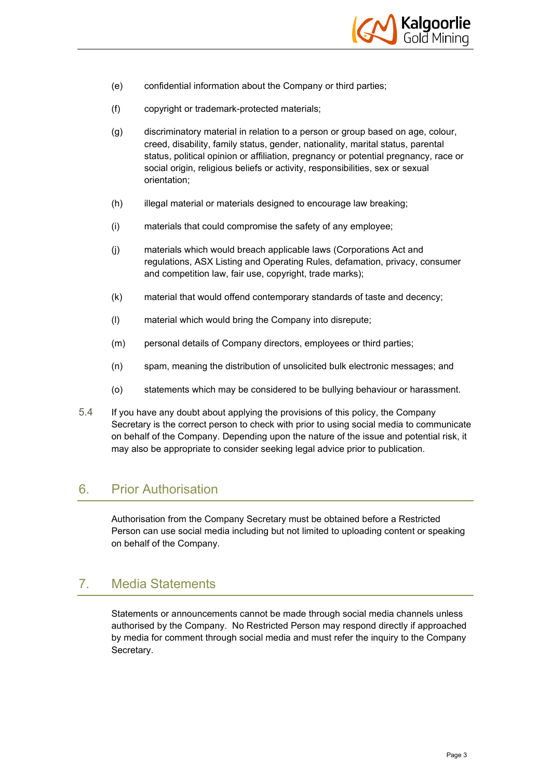

- (e) confidential information about the Company or third parties;
- (f) copyright or trademark-protected materials;
- (g) discriminatory material in relation to a person or group based on age, colour, creed, disability, family status, gender, nationality, marital status, parental status, political opinion or affiliation, pregnancy or potential pregnancy, race or social origin, religious beliefs or activity, responsibilities, sex or sexual orientation;
- (h) illegal material or materials designed to encourage law breaking;
- (i) materials that could compromise the safety of any employee;
- (j) materials which would breach applicable laws (Corporations Act and regulations, ASX Listing and Operating Rules, defamation, privacy, consumer and competition law, fair use, copyright, trade marks);
- (k) material that would offend contemporary standards of taste and decency;
- (l) material which would bring the Company into disrepute;
- (m) personal details of Company directors, employees or third parties;
- (n) spam, meaning the distribution of unsolicited bulk electronic messages; and
- (o) statements which may be considered to be bullying behaviour or harassment.
- 5.4 If you have any doubt about applying the provisions of this policy, the Company Secretary is the correct person to check with prior to using social media to communicate on behalf of the Company. Depending upon the nature of the issue and potential risk, it may also be appropriate to consider seeking legal advice prior to publication.

### 6. Prior Authorisation

Authorisation from the Company Secretary must be obtained before a Restricted Person can use social media including but not limited to uploading content or speaking on behalf of the Company.

## 7. Media Statements

Statements or announcements cannot be made through social media channels unless authorised by the Company. No Restricted Person may respond directly if approached by media for comment through social media and must refer the inquiry to the Company Secretary.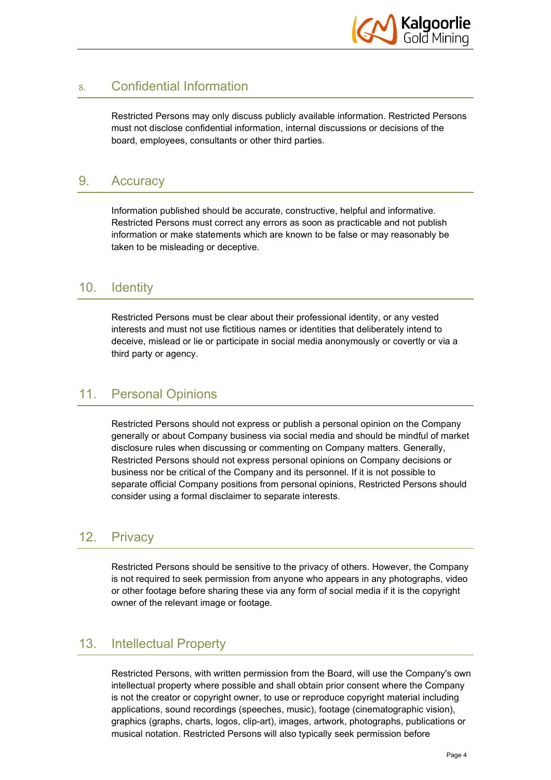

# 8. Confidential Information

Restricted Persons may only discuss publicly available information. Restricted Persons must not disclose confidential information, internal discussions or decisions of the board, employees, consultants or other third parties.

# 9. Accuracy

Information published should be accurate, constructive, helpful and informative. Restricted Persons must correct any errors as soon as practicable and not publish information or make statements which are known to be false or may reasonably be taken to be misleading or deceptive.

#### 10. Identity

Restricted Persons must be clear about their professional identity, or any vested interests and must not use fictitious names or identities that deliberately intend to deceive, mislead or lie or participate in social media anonymously or covertly or via a third party or agency.

## 11. Personal Opinions

Restricted Persons should not express or publish a personal opinion on the Company generally or about Company business via social media and should be mindful of market disclosure rules when discussing or commenting on Company matters. Generally, Restricted Persons should not express personal opinions on Company decisions or business nor be critical of the Company and its personnel. If it is not possible to separate official Company positions from personal opinions, Restricted Persons should consider using a formal disclaimer to separate interests.

### 12. Privacy

Restricted Persons should be sensitive to the privacy of others. However, the Company is not required to seek permission from anyone who appears in any photographs, video or other footage before sharing these via any form of social media if it is the copyright owner of the relevant image or footage.

### 13. Intellectual Property

Restricted Persons, with written permission from the Board, will use the Company's own intellectual property where possible and shall obtain prior consent where the Company is not the creator or copyright owner, to use or reproduce copyright material including applications, sound recordings (speeches, music), footage (cinematographic vision), graphics (graphs, charts, logos, clip-art), images, artwork, photographs, publications or musical notation. Restricted Persons will also typically seek permission before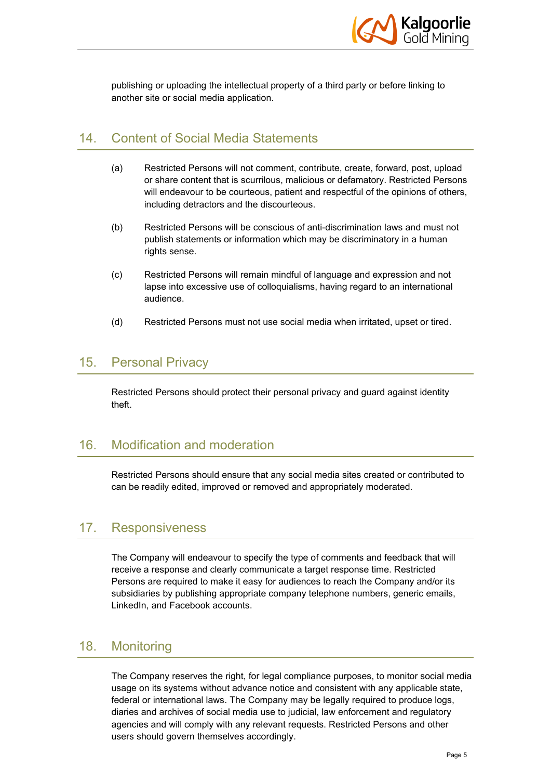

publishing or uploading the intellectual property of a third party or before linking to another site or social media application.

#### 14. Content of Social Media Statements

- (a) Restricted Persons will not comment, contribute, create, forward, post, upload or share content that is scurrilous, malicious or defamatory. Restricted Persons will endeavour to be courteous, patient and respectful of the opinions of others, including detractors and the discourteous.
- (b) Restricted Persons will be conscious of anti-discrimination laws and must not publish statements or information which may be discriminatory in a human rights sense.
- (c) Restricted Persons will remain mindful of language and expression and not lapse into excessive use of colloquialisms, having regard to an international audience.
- (d) Restricted Persons must not use social media when irritated, upset or tired.

#### 15. Personal Privacy

Restricted Persons should protect their personal privacy and guard against identity theft.

# 16. Modification and moderation

Restricted Persons should ensure that any social media sites created or contributed to can be readily edited, improved or removed and appropriately moderated.

#### 17. Responsiveness

The Company will endeavour to specify the type of comments and feedback that will receive a response and clearly communicate a target response time. Restricted Persons are required to make it easy for audiences to reach the Company and/or its subsidiaries by publishing appropriate company telephone numbers, generic emails, LinkedIn, and Facebook accounts.

#### 18. Monitoring

The Company reserves the right, for legal compliance purposes, to monitor social media usage on its systems without advance notice and consistent with any applicable state, federal or international laws. The Company may be legally required to produce logs, diaries and archives of social media use to judicial, law enforcement and regulatory agencies and will comply with any relevant requests. Restricted Persons and other users should govern themselves accordingly.